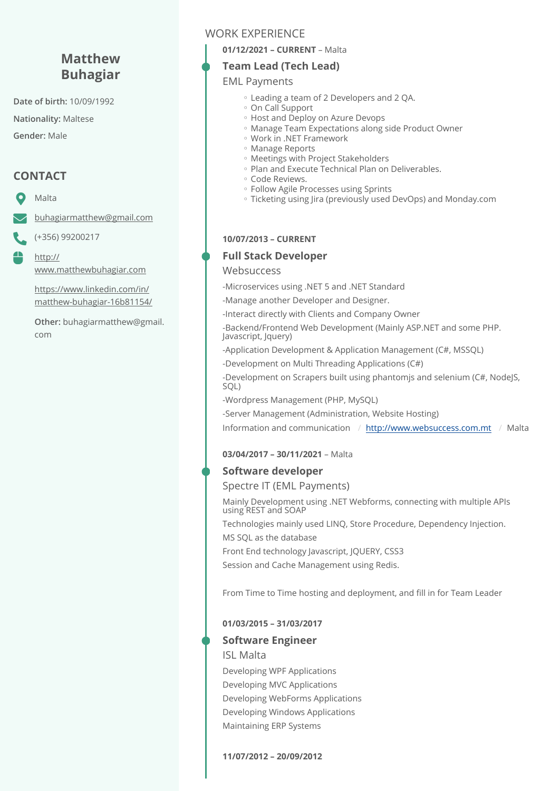# **Matthew Buhagiar**

**Date of birth:** 10/09/1992

**Nationality:** Maltese

**Gender:** Male

# **CONTACT**

Malta

₩

[buhagiarmatthew@gmail.com](mailto:buhagiarmatthew@gmail.com)

(+356) 99200217

[http://](http://www.matthewbuhagiar.com) [www.matthewbuhagiar.com](http://www.matthewbuhagiar.com)

[https://www.linkedin.com/in/](https://www.linkedin.com/in/matthew-buhagiar-16b81154/) [matthew-buhagiar-16b81154/](https://www.linkedin.com/in/matthew-buhagiar-16b81154/)

**Other:** buhagiarmatthew@gmail. com

## WORK EXPERIENCE

**01/12/2021 – CURRENT** – Malta

#### **Team Lead (Tech Lead)**

#### EML Payments

- Leading a team of 2 Developers and 2 QA. ◦
- On Call Support ◦
- Host and Deploy on Azure Devops
- Manage Team Expectations along side Product Owner
- Work in .NET Framework ◦
- Manage Reports ◦
- Meetings with Project Stakeholders ◦
- Plan and Execute Technical Plan on Deliverables.
- Code Reviews. ◦
- Follow Agile Processes using Sprints ◦
- Ticketing using Jira (previously used DevOps) and Monday.com ◦

#### **10/07/2013 – CURRENT**

#### **Full Stack Developer**

#### **Websuccess**

-Microservices using .NET 5 and .NET Standard

-Manage another Developer and Designer.

-Interact directly with Clients and Company Owner

-Backend/Frontend Web Development (Mainly ASP.NET and some PHP. Javascript, Jquery)

-Application Development & Application Management (C#, MSSQL)

-Development on Multi Threading Applications (C#)

-Development on Scrapers built using phantomjs and selenium (C#, NodeJS, SQL)

-Wordpress Management (PHP, MySQL)

-Server Management (Administration, Website Hosting)

Information and communication / <http://www.websuccess.com.mt> / Malta

#### **03/04/2017 – 30/11/2021** – Malta

#### **Software developer**

Spectre IT (EML Payments)

Mainly Development using .NET Webforms, connecting with multiple APIs using REST and SOAP

Technologies mainly used LINQ, Store Procedure, Dependency Injection. MS SQL as the database

Front End technology Javascript, JQUERY, CSS3

Session and Cache Management using Redis.

From Time to Time hosting and deployment, and fill in for Team Leader

#### **01/03/2015 – 31/03/2017**

#### **Software Engineer**

ISL Malta

Developing WPF Applications Developing MVC Applications Developing WebForms Applications Developing Windows Applications Maintaining ERP Systems

**11/07/2012 – 20/09/2012**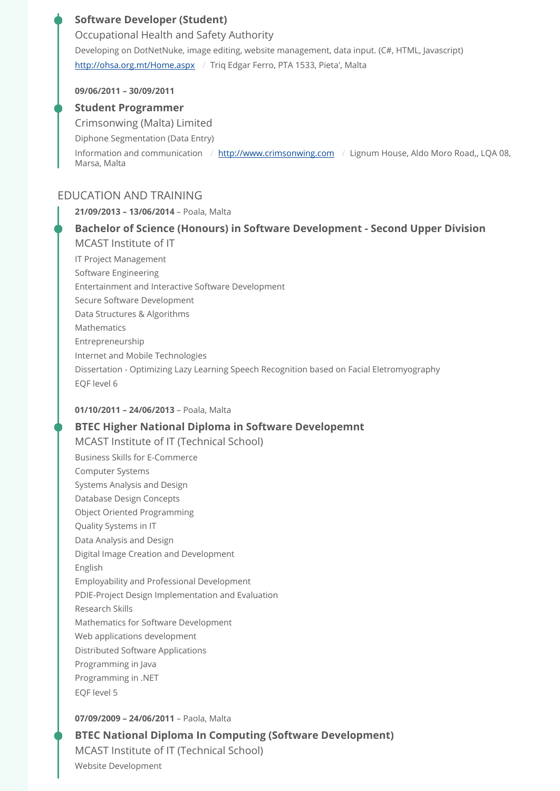## **Software Developer (Student)**

Developing on DotNetNuke, image editing, website management, data input. (C#, HTML, Javascript) <http://ohsa.org.mt/Home.aspx> / Triq Edgar Ferro, PTA 1533, Pieta', Malta Occupational Health and Safety Authority

#### **09/06/2011 – 30/09/2011**

#### **Student Programmer**

Crimsonwing (Malta) Limited

Diphone Segmentation (Data Entry)

Information and communication / <http://www.crimsonwing.com> / Lignum House, Aldo Moro Road,, LQA 08, Marsa, Malta

## EDUCATION AND TRAINING

**21/09/2013 – 13/06/2014** – Poala, Malta IT Project Management Software Engineering Entertainment and Interactive Software Development Secure Software Development Data Structures & Algorithms Mathematics Entrepreneurship Internet and Mobile Technologies Dissertation - Optimizing Lazy Learning Speech Recognition based on Facial Eletromyography EQF level 6 **Bachelor of Science (Honours) in Software Development - Second Upper Division**  MCAST Institute of IT

#### **01/10/2011 – 24/06/2013** – Poala, Malta

#### **BTEC Higher National Diploma in Software Developemnt**

Business Skills for E-Commerce Computer Systems Systems Analysis and Design Database Design Concepts Object Oriented Programming Quality Systems in IT Data Analysis and Design Digital Image Creation and Development English Employability and Professional Development PDIE-Project Design Implementation and Evaluation Research Skills Mathematics for Software Development Web applications development Distributed Software Applications Programming in Java Programming in .NET EQF level 5 MCAST Institute of IT (Technical School)

#### **07/09/2009 – 24/06/2011** – Paola, Malta

Website Development **BTEC National Diploma In Computing (Software Development)**  MCAST Institute of IT (Technical School)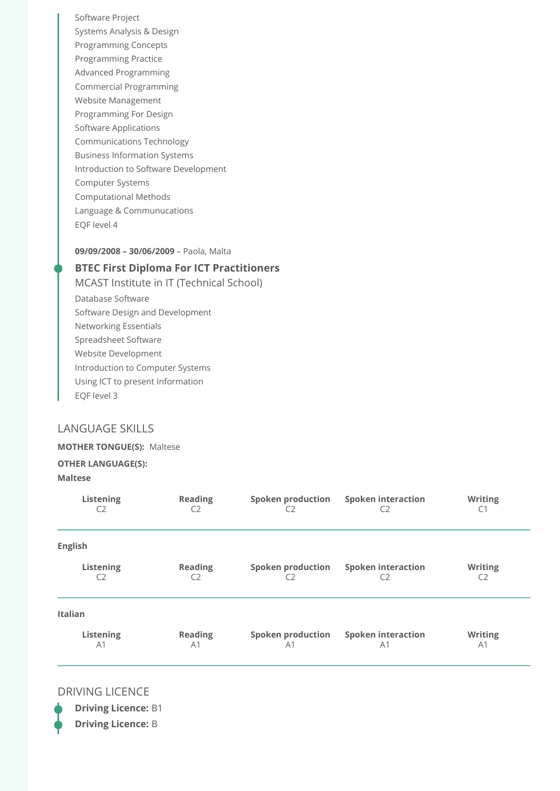Software Project Systems Analysis & Design Programming Concepts Programming Practice Advanced Programming Commercial Programming Website Management Programming For Design Software Applications Communications Technology Business Information Systems Introduction to Software Development Computer Systems Computational Methods Language & Communucations EQF level 4

#### **09/09/2008 – 30/06/2009** – Paola, Malta

#### **BTEC First Diploma For ICT Practitioners**

Database Software Software Design and Development Networking Essentials Spreadsheet Software Website Development Introduction to Computer Systems Using ICT to present Information EQF level 3 MCAST Institute in IT (Technical School)

#### LANGUAGE SKILLS

#### **MOTHER TONGUE(S):** Maltese

#### **OTHER LANGUAGE(S):**

#### **Maltese**

| Listening      | <b>Reading</b> | <b>Spoken production</b> | <b>Spoken interaction</b> | <b>Writing</b> |
|----------------|----------------|--------------------------|---------------------------|----------------|
| C2             | C <sub>2</sub> | C2                       | C <sub>2</sub>            | C1             |
| <b>English</b> |                |                          |                           |                |
| Listening      | <b>Reading</b> | <b>Spoken production</b> | <b>Spoken interaction</b> | <b>Writing</b> |
| C <sub>2</sub> | C <sub>2</sub> | C2                       | C <sub>2</sub>            | C <sub>2</sub> |
| <b>Italian</b> |                |                          |                           |                |
| Listening      | <b>Reading</b> | <b>Spoken production</b> | <b>Spoken interaction</b> | <b>Writing</b> |
| A <sub>1</sub> | A <sub>1</sub> | A <sub>1</sub>           | A <sub>1</sub>            | A1             |

#### DRIVING LICENCE

**Driving Licence:** B1 **Driving Licence:** B